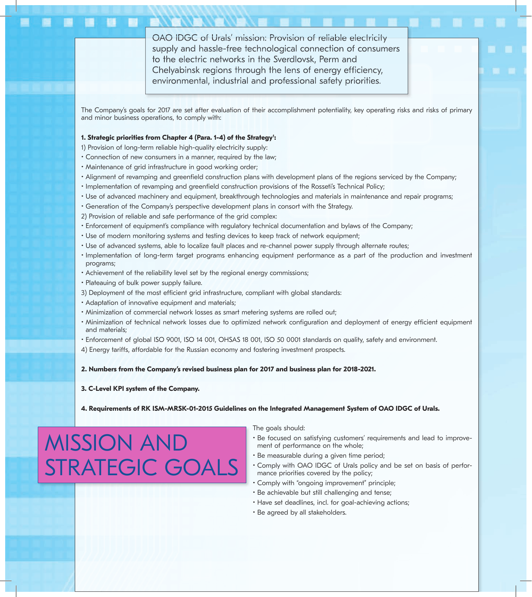OAO IDGC of Urals' mission: Provision of reliable electricity supply and hassle-free technological connection of consumers to the electric networks in the Sverdlovsk, Perm and Chelyabinsk regions through the lens of energy efficiency, environmental, industrial and professional safety priorities.

The Company's goals for 2017 are set after evaluation of their accomplishment potentiality, key operating risks and risks of primary and minor business operations, to comply with:

## 1. Strategic priorities from Chapter 4 (Para. 1-4) of the Strategy':

- 1) Provision of long-term reliable high-quality electricity supply:
- Connection of new consumers in a manner, required by the law;
- Maintenance of grid infrastructure in good working order;
- Alignment of revamping and greenfield construction plans with development plans of the regions serviced by the Company;
- Implementation of revamping and greenfield construction provisions of the Rosseti's Technical Policy;
- Use of advanced machinery and equipment, breakthrough technologies and materials in maintenance and repair programs;
- Generation of the Company's perspective development plans in consort with the Strategy.
- 2) Provision of reliable and safe performance of the grid complex:
- Enforcement of equipment's compliance with regulatory technical documentation and bylaws of the Company;
- Use of modern monitoring systems and testing devices to keep track of network equipment;
- Use of advanced systems, able to localize fault places and re-channel power supply through alternate routes;
- Implementation of long-term target programs enhancing equipment performance as a part of the production and investment programs;
- Achievement of the reliability level set by the regional energy commissions;
- Plateauing of bulk power supply failure.
- 3) Deployment of the most efficient grid infrastructure, compliant with global standards:
- Adaptation of innovative equipment and materials;
- Minimization of commercial network losses as smart metering systems are rolled out;
- Minimization of technical network losses due to optimized network configuration and deployment of energy efficient equipment and materials;
- Enforcement of global ISO 9001, ISO 14 001, OHSAS 18 001, ISO 50 0001 standards on quality, safety and environment.
- 4) Energy tariffs, affordable for the Russian economy and fostering investment prospects.

# **2. Numbers from the Company's revised business plan for 2017 and business plan for 2018-2021.**

### **3. C-Level KPI system of the Company.**

#### **4. Requirements of RK ISM-MRSK-01-2015 Guidelines on the Integrated Management System of OAO IDGC of Urals.**

# MISSION AND STRATEGIC GOALS

The goals should:

- Be focused on satisfying customers' requirements and lead to improvement of performance on the whole;
- Be measurable during a given time period;
- Comply with OAO IDGC of Urals policy and be set on basis of performance priorities covered by the policy;
- Comply with "ongoing improvement" principle;
- Be achievable but still challenging and tense;
- Have set deadlines, incl. for goal-achieving actions;
- Be agreed by all stakeholders.